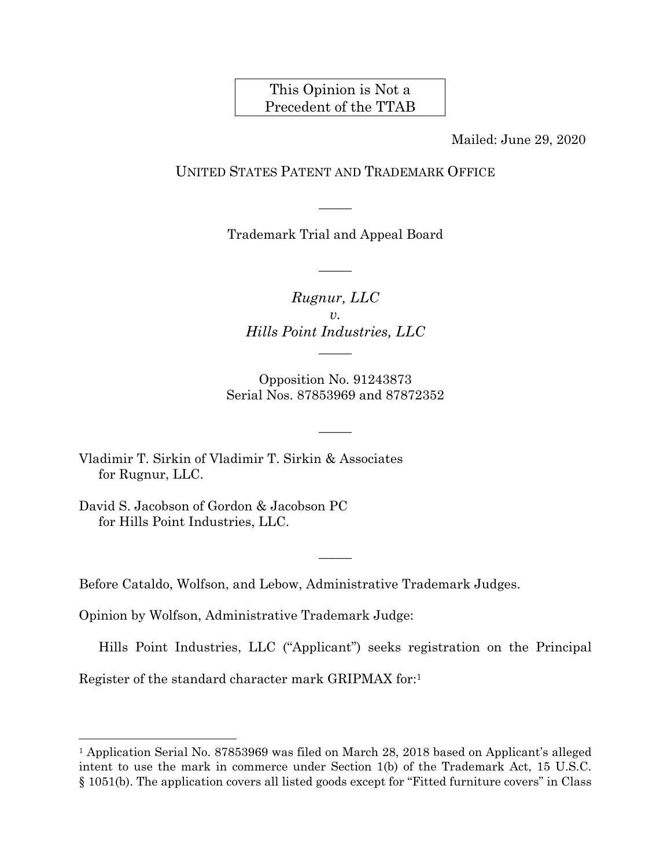## This Opinion is Not a Precedent of the TTAB

Mailed: June 29, 2020

## UNITED STATES PATENT AND TRADEMARK OFFICE

Trademark Trial and Appeal Board

 $\overline{\phantom{a}}$ 

 $\overline{\phantom{a}}$ 

*Rugnur, LLC*   $v_{\rm A}$ *Hills Point Industries, LLC* 

 $\overline{\phantom{a}}$ 

Opposition No. 91243873 Serial Nos. 87853969 and 87872352

 $\overline{\phantom{a}}$ 

Vladimir T. Sirkin of Vladimir T. Sirkin & Associates for Rugnur, LLC.

David S. Jacobson of Gordon & Jacobson PC for Hills Point Industries, LLC.

l

Before Cataldo, Wolfson, and Lebow, Administrative Trademark Judges.

Opinion by Wolfson, Administrative Trademark Judge:

Hills Point Industries, LLC ("Applicant") seeks registration on the Principal Register of the standard character mark GRIPMAX for:1

 $\overline{\phantom{a}}$ 

<sup>&</sup>lt;sup>1</sup> Application Serial No. 87853969 was filed on March 28, 2018 based on Applicant's alleged intent to use the mark in commerce under Section 1(b) of the Trademark Act, 15 U.S.C. § 1051(b). The application covers all listed goods except for "Fitted furniture covers" in Class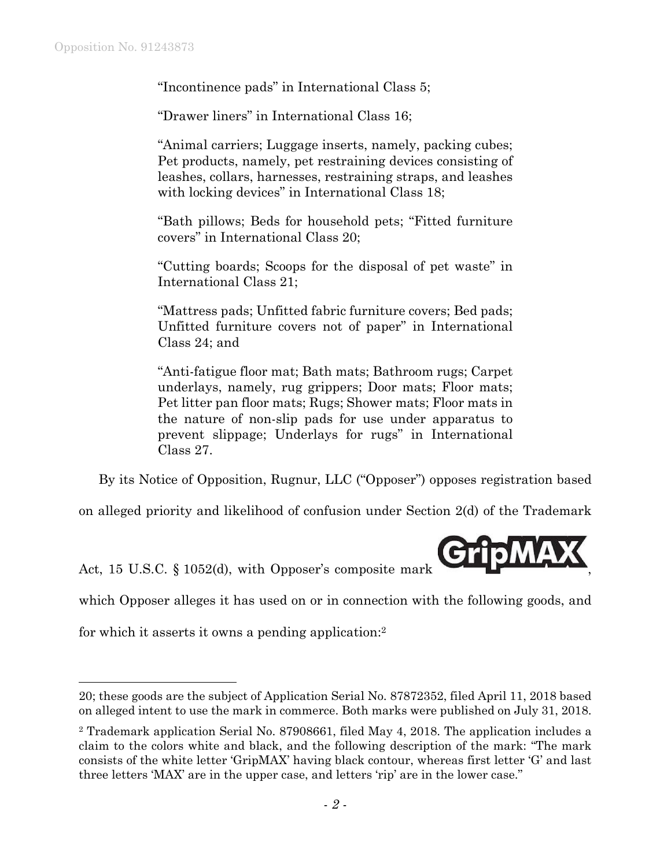"Incontinence pads" in International Class 5;

"Drawer liners" in International Class 16;

"Animal carriers; Luggage inserts, namely, packing cubes; Pet products, namely, pet restraining devices consisting of leashes, collars, harnesses, restraining straps, and leashes with locking devices" in International Class 18;

"Bath pillows; Beds for household pets; "Fitted furniture covers" in International Class 20;

"Cutting boards; Scoops for the disposal of pet waste" in International Class 21;

"Mattress pads; Unfitted fabric furniture covers; Bed pads; Unfitted furniture covers not of paper" in International Class 24; and

"Anti-fatigue floor mat; Bath mats; Bathroom rugs; Carpet underlays, namely, rug grippers; Door mats; Floor mats; Pet litter pan floor mats; Rugs; Shower mats; Floor mats in the nature of non-slip pads for use under apparatus to prevent slippage; Underlays for rugs" in International Class 27.

By its Notice of Opposition, Rugnur, LLC ("Opposer") opposes registration based

on alleged priority and likelihood of confusion under Section 2(d) of the Trademark

Act, 15 U.S.C.  $\S$  1052(d), with Opposer's composite mark

which Opposer alleges it has used on or in connection with the following goods, and

for which it asserts it owns a pending application:2

 $\overline{a}$ 

<sup>20;</sup> these goods are the subject of Application Serial No. 87872352, filed April 11, 2018 based on alleged intent to use the mark in commerce. Both marks were published on July 31, 2018.

<sup>2</sup> Trademark application Serial No. 87908661, filed May 4, 2018. The application includes a claim to the colors white and black, and the following description of the mark: "The mark consists of the white letter 'GripMAX' having black contour, whereas first letter 'G' and last three letters 'MAX' are in the upper case, and letters 'rip' are in the lower case."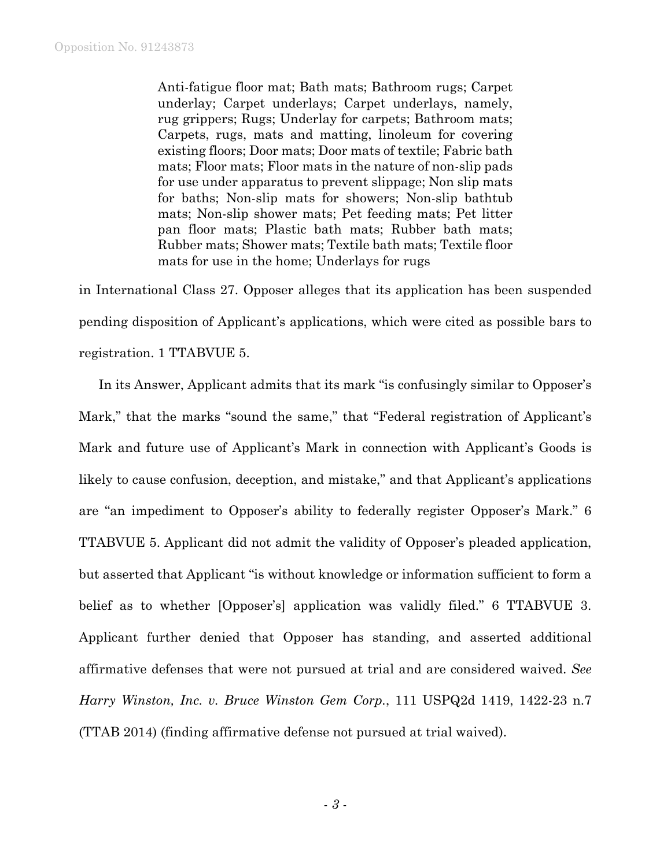Anti-fatigue floor mat; Bath mats; Bathroom rugs; Carpet underlay; Carpet underlays; Carpet underlays, namely, rug grippers; Rugs; Underlay for carpets; Bathroom mats; Carpets, rugs, mats and matting, linoleum for covering existing floors; Door mats; Door mats of textile; Fabric bath mats; Floor mats; Floor mats in the nature of non-slip pads for use under apparatus to prevent slippage; Non slip mats for baths; Non-slip mats for showers; Non-slip bathtub mats; Non-slip shower mats; Pet feeding mats; Pet litter pan floor mats; Plastic bath mats; Rubber bath mats; Rubber mats; Shower mats; Textile bath mats; Textile floor mats for use in the home; Underlays for rugs

in International Class 27. Opposer alleges that its application has been suspended pending disposition of Applicant's applications, which were cited as possible bars to registration. 1 TTABVUE 5.

In its Answer, Applicant admits that its mark "is confusingly similar to Opposer's Mark," that the marks "sound the same," that "Federal registration of Applicant's Mark and future use of Applicant's Mark in connection with Applicant's Goods is likely to cause confusion, deception, and mistake," and that Applicant's applications are "an impediment to Opposer's ability to federally register Opposer's Mark." 6 TTABVUE 5. Applicant did not admit the validity of Opposer's pleaded application, but asserted that Applicant "is without knowledge or information sufficient to form a belief as to whether [Opposer's] application was validly filed." 6 TTABVUE 3. Applicant further denied that Opposer has standing, and asserted additional affirmative defenses that were not pursued at trial and are considered waived. *See Harry Winston, Inc. v. Bruce Winston Gem Corp.*, 111 USPQ2d 1419, 1422-23 n.7 (TTAB 2014) (finding affirmative defense not pursued at trial waived).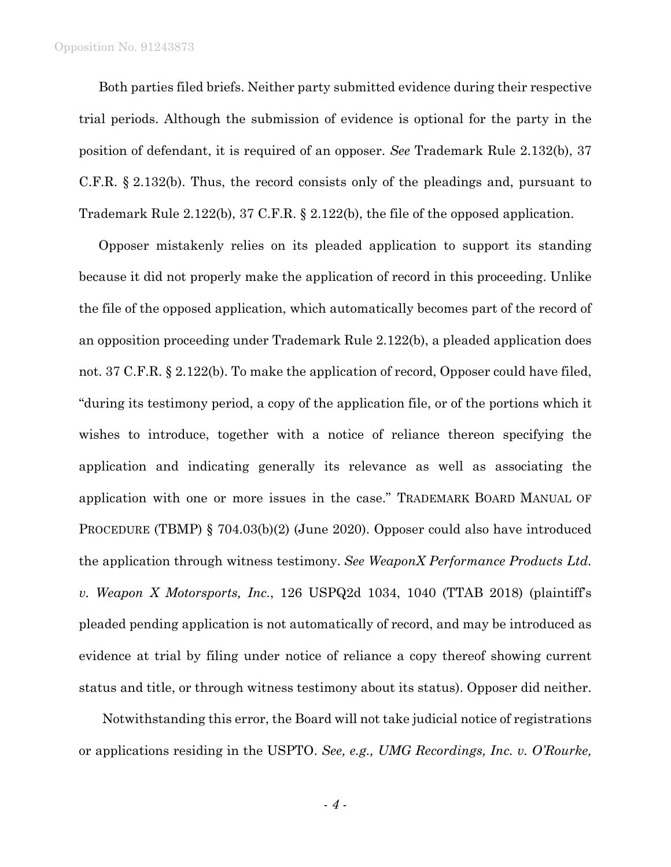## Opposition No. 91243873

Both parties filed briefs. Neither party submitted evidence during their respective trial periods. Although the submission of evidence is optional for the party in the position of defendant, it is required of an opposer. *See* Trademark Rule 2.132(b), 37 C.F.R. § 2.132(b). Thus, the record consists only of the pleadings and, pursuant to Trademark Rule 2.122(b), 37 C.F.R. § 2.122(b), the file of the opposed application.

Opposer mistakenly relies on its pleaded application to support its standing because it did not properly make the application of record in this proceeding. Unlike the file of the opposed application, which automatically becomes part of the record of an opposition proceeding under Trademark Rule 2.122(b), a pleaded application does not. 37 C.F.R. § 2.122(b). To make the application of record, Opposer could have filed, "during its testimony period, a copy of the application file, or of the portions which it wishes to introduce, together with a notice of reliance thereon specifying the application and indicating generally its relevance as well as associating the application with one or more issues in the case." TRADEMARK BOARD MANUAL OF PROCEDURE (TBMP) § 704.03(b)(2) (June 2020). Opposer could also have introduced the application through witness testimony. *See WeaponX Performance Products Ltd. v. Weapon X Motorsports, Inc.*, 126 USPQ2d 1034, 1040 (TTAB 2018) (plaintiff's pleaded pending application is not automatically of record, and may be introduced as evidence at trial by filing under notice of reliance a copy thereof showing current status and title, or through witness testimony about its status). Opposer did neither.

 Notwithstanding this error, the Board will not take judicial notice of registrations or applications residing in the USPTO. *See, e.g., UMG Recordings, Inc. v. O'Rourke,*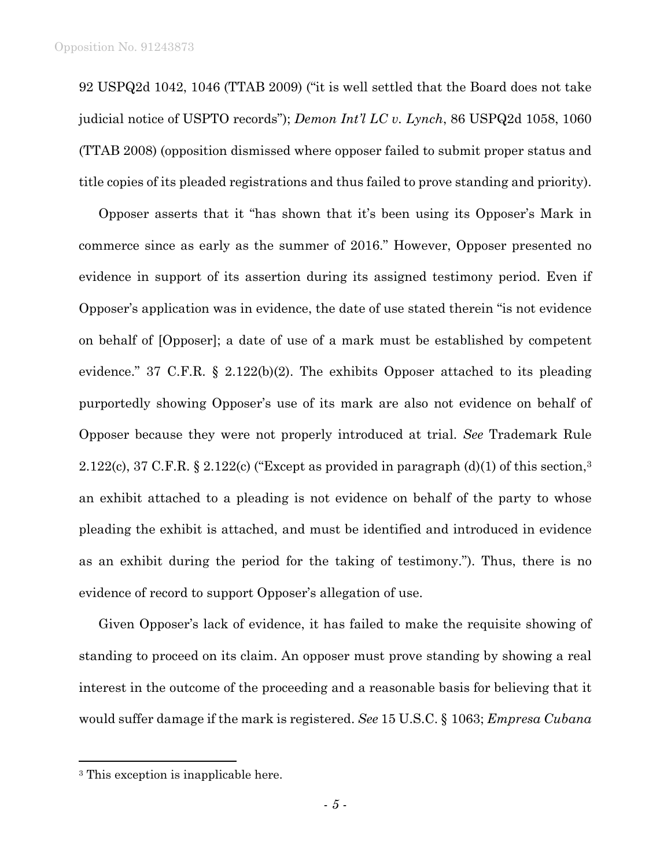92 USPQ2d 1042, 1046 (TTAB 2009) ("it is well settled that the Board does not take judicial notice of USPTO records"); *Demon Int'l LC v. Lynch*, 86 USPQ2d 1058, 1060 (TTAB 2008) (opposition dismissed where opposer failed to submit proper status and title copies of its pleaded registrations and thus failed to prove standing and priority).

Opposer asserts that it "has shown that it's been using its Opposer's Mark in commerce since as early as the summer of 2016." However, Opposer presented no evidence in support of its assertion during its assigned testimony period. Even if Opposer's application was in evidence, the date of use stated therein "is not evidence on behalf of [Opposer]; a date of use of a mark must be established by competent evidence." 37 C.F.R. § 2.122(b)(2). The exhibits Opposer attached to its pleading purportedly showing Opposer's use of its mark are also not evidence on behalf of Opposer because they were not properly introduced at trial. *See* Trademark Rule 2.122(c), 37 C.F.R. § 2.122(c) ("Except as provided in paragraph  $(d)(1)$  of this section,  $3$ an exhibit attached to a pleading is not evidence on behalf of the party to whose pleading the exhibit is attached, and must be identified and introduced in evidence as an exhibit during the period for the taking of testimony."). Thus, there is no evidence of record to support Opposer's allegation of use.

Given Opposer's lack of evidence, it has failed to make the requisite showing of standing to proceed on its claim. An opposer must prove standing by showing a real interest in the outcome of the proceeding and a reasonable basis for believing that it would suffer damage if the mark is registered. *See* 15 U.S.C. § 1063; *Empresa Cubana* 

 $\overline{a}$ 

<sup>3</sup> This exception is inapplicable here.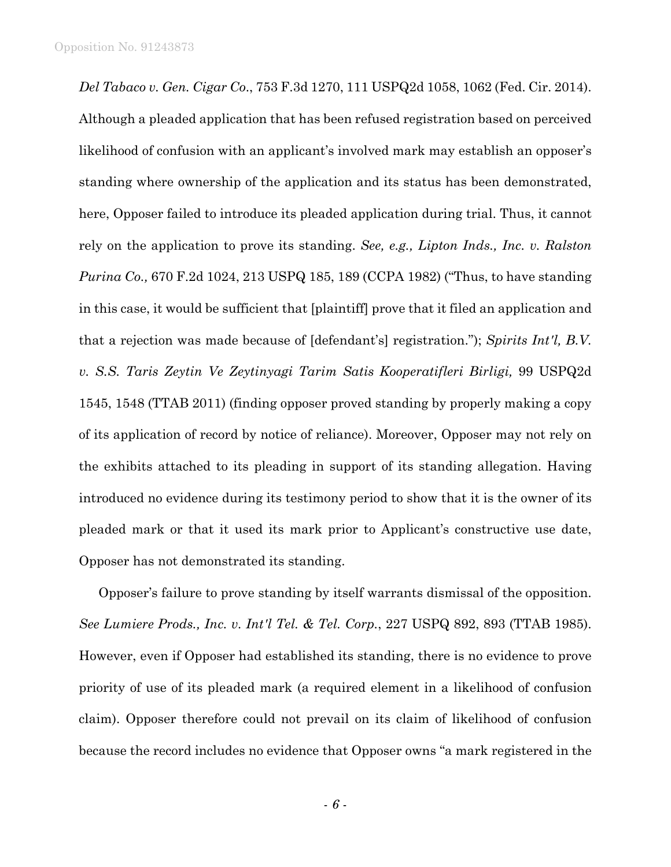*Del Tabaco v. Gen. Cigar Co*., 753 F.3d 1270, 111 USPQ2d 1058, 1062 (Fed. Cir. 2014). Although a pleaded application that has been refused registration based on perceived likelihood of confusion with an applicant's involved mark may establish an opposer's standing where ownership of the application and its status has been demonstrated, here, Opposer failed to introduce its pleaded application during trial. Thus, it cannot rely on the application to prove its standing. *See, e.g., Lipton Inds., Inc. v. Ralston Purina Co.,* 670 F.2d 1024, 213 USPQ 185, 189 (CCPA 1982) ("Thus, to have standing in this case, it would be sufficient that [plaintiff] prove that it filed an application and that a rejection was made because of [defendant's] registration."); *Spirits Int'l, B.V. v. S.S. Taris Zeytin Ve Zeytinyagi Tarim Satis Kooperatifleri Birligi,* 99 USPQ2d 1545, 1548 (TTAB 2011) (finding opposer proved standing by properly making a copy of its application of record by notice of reliance). Moreover, Opposer may not rely on the exhibits attached to its pleading in support of its standing allegation. Having introduced no evidence during its testimony period to show that it is the owner of its pleaded mark or that it used its mark prior to Applicant's constructive use date, Opposer has not demonstrated its standing.

Opposer's failure to prove standing by itself warrants dismissal of the opposition. *See Lumiere Prods., Inc. v. Int'l Tel. & Tel. Corp.*, 227 USPQ 892, 893 (TTAB 1985). However, even if Opposer had established its standing, there is no evidence to prove priority of use of its pleaded mark (a required element in a likelihood of confusion claim). Opposer therefore could not prevail on its claim of likelihood of confusion because the record includes no evidence that Opposer owns "a mark registered in the